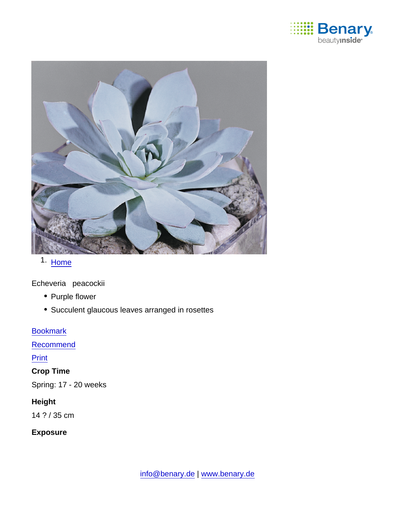

# 1. [Home](https://www.benary.com/)

Echeveria peacockii

- Purple flower
- Succulent glaucous leaves arranged in rosettes

**[Bookmark](https://www.benary.com/flag/flag/product/5896?destination&token=CGn_FrTyUVwGA0odERSlu_9SVeqb_TPfjVziRs47stQ)** 

[Recommend](mailto:?subject=Benary Echeveria peacockii &body=https://www.benary.com/print/pdf/node/5896)

**Print** 

Crop Time

Spring: 17 - 20 weeks

Height

14 ? / 35 cm

Exposure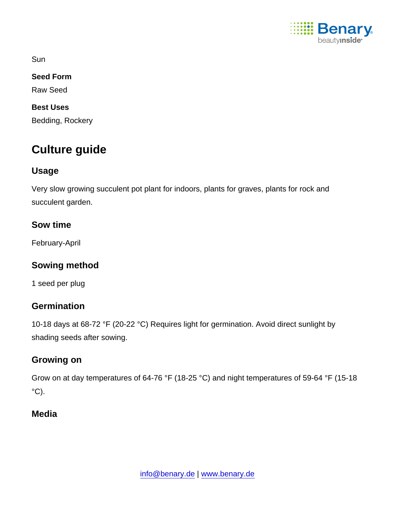

**Sun** 

Seed Form

Raw Seed

Best Uses Bedding, Rockery

# Culture guide

# Usage

Very slow growing succulent pot plant for indoors, plants for graves, plants for rock and succulent garden.

Sow time

February-April

Sowing method

1 seed per plug

## **Germination**

10-18 days at 68-72 °F (20-22 °C) Requires light for germination. Avoid direct sunlight by shading seeds after sowing.

## Growing on

Grow on at day temperatures of 64-76 °F (18-25 °C) and night temperatures of 59-64 °F (15-18  $\mathrm{^{\circ}C}$ ).

## Media